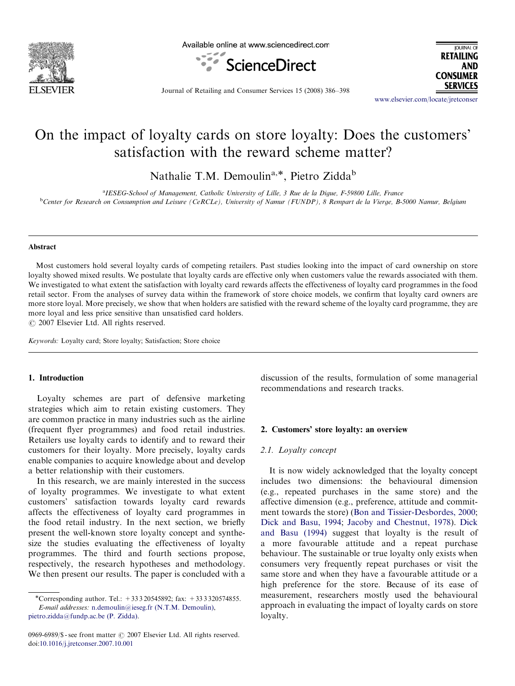

Available online at www.sciencedirect.com



JOURNAL OF **RETAILING AND CONSUMER SERVICES** 

Journal of Retailing and Consumer Services 15 (2008) 386–398

<www.elsevier.com/locate/jretconser>

## On the impact of loyalty cards on store loyalty: Does the customers' satisfaction with the reward scheme matter?

Nathalie T.M. Demoulin<sup>a,\*</sup>, Pietro Zidda<sup>b</sup>

<sup>a</sup>IESEG-School of Management, Catholic University of Lille, 3 Rue de la Digue, F-59800 Lille, France **bCenter for Research on Consumption and Leisure (CeRCLe), University of Namur (FUNDP), 8 Rempart de la Vierge, B-5000 Namur, Belgium** 

#### Abstract

Most customers hold several loyalty cards of competing retailers. Past studies looking into the impact of card ownership on store loyalty showed mixed results. We postulate that loyalty cards are effective only when customers value the rewards associated with them. We investigated to what extent the satisfaction with loyalty card rewards affects the effectiveness of loyalty card programmes in the food retail sector. From the analyses of survey data within the framework of store choice models, we confirm that loyalty card owners are more store loyal. More precisely, we show that when holders are satisfied with the reward scheme of the loyalty card programme, they are more loyal and less price sensitive than unsatisfied card holders.

 $\odot$  2007 Elsevier Ltd. All rights reserved.

Keywords: Loyalty card; Store loyalty; Satisfaction; Store choice

## 1. Introduction

Loyalty schemes are part of defensive marketing strategies which aim to retain existing customers. They are common practice in many industries such as the airline (frequent flyer programmes) and food retail industries. Retailers use loyalty cards to identify and to reward their customers for their loyalty. More precisely, loyalty cards enable companies to acquire knowledge about and develop a better relationship with their customers.

In this research, we are mainly interested in the success of loyalty programmes. We investigate to what extent customers' satisfaction towards loyalty card rewards affects the effectiveness of loyalty card programmes in the food retail industry. In the next section, we briefly present the well-known store loyalty concept and synthesize the studies evaluating the effectiveness of loyalty programmes. The third and fourth sections propose, respectively, the research hypotheses and methodology. We then present our results. The paper is concluded with a

0969-6989/\$ - see front matter  $\odot$  2007 Elsevier Ltd. All rights reserved. doi:[10.1016/j.jretconser.2007.10.001](dx.doi.org/10.1016/j.jretconser.2007.10.001)

discussion of the results, formulation of some managerial recommendations and research tracks.

#### 2. Customers' store loyalty: an overview

#### 2.1. Loyalty concept

It is now widely acknowledged that the loyalty concept includes two dimensions: the behavioural dimension (e.g., repeated purchases in the same store) and the affective dimension (e.g., preference, attitude and commitment towards the store) [\(Bon and Tissier-Desbordes, 2000](#page--1-0); [Dick and Basu, 1994;](#page--1-0) [Jacoby and Chestnut, 1978\)](#page--1-0). [Dick](#page--1-0) [and Basu \(1994\)](#page--1-0) suggest that loyalty is the result of a more favourable attitude and a repeat purchase behaviour. The sustainable or true loyalty only exists when consumers very frequently repeat purchases or visit the same store and when they have a favourable attitude or a high preference for the store. Because of its ease of measurement, researchers mostly used the behavioural approach in evaluating the impact of loyalty cards on store loyalty.

<sup>-</sup>Corresponding author. Tel.: +33 3 20545892; fax: +33 3 320574855. E-mail addresses: [n.demoulin@ieseg.fr \(N.T.M. Demoulin\)](mailto:n.demoulin@ieseg.fr), [pietro.zidda@fundp.ac.be \(P. Zidda\).](mailto:pietro.zidda@fundp.ac.be)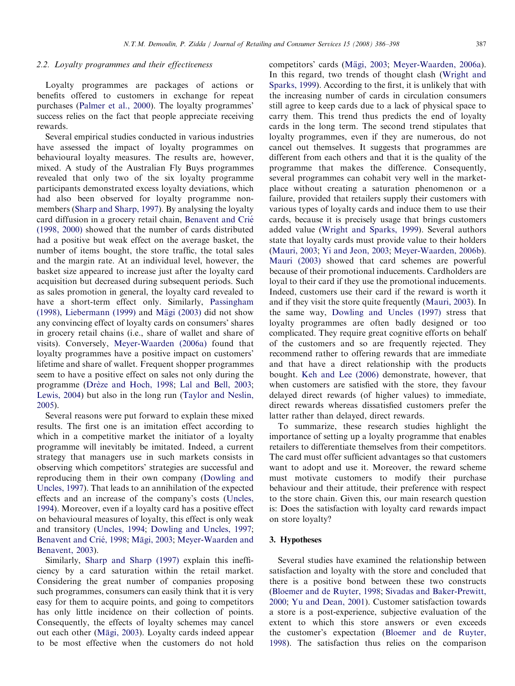## 2.2. Loyalty programmes and their effectiveness

Loyalty programmes are packages of actions or benefits offered to customers in exchange for repeat purchases ([Palmer et al., 2000](#page--1-0)). The loyalty programmes' success relies on the fact that people appreciate receiving rewards.

Several empirical studies conducted in various industries have assessed the impact of loyalty programmes on behavioural loyalty measures. The results are, however, mixed. A study of the Australian Fly Buys programmes revealed that only two of the six loyalty programme participants demonstrated excess loyalty deviations, which had also been observed for loyalty programme nonmembers ([Sharp and Sharp, 1997](#page--1-0)). By analysing the loyalty card diffusion in a grocery retail chain, [Benavent and Crie´](#page--1-0) [\(1998, 2000\)](#page--1-0) showed that the number of cards distributed had a positive but weak effect on the average basket, the number of items bought, the store traffic, the total sales and the margin rate. At an individual level, however, the basket size appeared to increase just after the loyalty card acquisition but decreased during subsequent periods. Such as sales promotion in general, the loyalty card revealed to have a short-term effect only. Similarly, [Passingham](#page--1-0) [\(1998\)](#page--1-0), [Liebermann \(1999\)](#page--1-0) and Mägi (2003) did not show any convincing effect of loyalty cards on consumers' shares in grocery retail chains (i.e., share of wallet and share of visits). Conversely, [Meyer-Waarden \(2006a\)](#page--1-0) found that loyalty programmes have a positive impact on customers' lifetime and share of wallet. Frequent shopper programmes seem to have a positive effect on sales not only during the programme (Drèze and Hoch, 1998; [Lal and Bell, 2003;](#page--1-0) [Lewis, 2004\)](#page--1-0) but also in the long run ([Taylor and Neslin,](#page--1-0) [2005](#page--1-0)).

Several reasons were put forward to explain these mixed results. The first one is an imitation effect according to which in a competitive market the initiator of a loyalty programme will inevitably be imitated. Indeed, a current strategy that managers use in such markets consists in observing which competitors' strategies are successful and reproducing them in their own company ([Dowling and](#page--1-0) [Uncles, 1997\)](#page--1-0). That leads to an annihilation of the expected effects and an increase of the company's costs ([Uncles,](#page--1-0) [1994](#page--1-0)). Moreover, even if a loyalty card has a positive effect on behavioural measures of loyalty, this effect is only weak and transitory ([Uncles, 1994;](#page--1-0) [Dowling and Uncles, 1997;](#page--1-0) Benavent and Crié, 1998; Mägi, 2003; [Meyer-Waarden and](#page--1-0) [Benavent, 2003](#page--1-0)).

Similarly, [Sharp and Sharp \(1997\)](#page--1-0) explain this inefficiency by a card saturation within the retail market. Considering the great number of companies proposing such programmes, consumers can easily think that it is very easy for them to acquire points, and going to competitors has only little incidence on their collection of points. Consequently, the effects of loyalty schemes may cancel out each other (Mägi, 2003). Loyalty cards indeed appear to be most effective when the customers do not hold competitors' cards (Mägi, 2003; [Meyer-Waarden, 2006a\)](#page--1-0). In this regard, two trends of thought clash ([Wright and](#page--1-0) [Sparks, 1999\)](#page--1-0). According to the first, it is unlikely that with the increasing number of cards in circulation consumers still agree to keep cards due to a lack of physical space to carry them. This trend thus predicts the end of loyalty cards in the long term. The second trend stipulates that loyalty programmes, even if they are numerous, do not cancel out themselves. It suggests that programmes are different from each others and that it is the quality of the programme that makes the difference. Consequently, several programmes can cohabit very well in the marketplace without creating a saturation phenomenon or a failure, provided that retailers supply their customers with various types of loyalty cards and induce them to use their cards, because it is precisely usage that brings customers added value [\(Wright and Sparks, 1999](#page--1-0)). Several authors state that loyalty cards must provide value to their holders ([Mauri, 2003](#page--1-0); [Yi and Jeon, 2003](#page--1-0); [Meyer-Waarden, 2006b\)](#page--1-0). [Mauri \(2003\)](#page--1-0) showed that card schemes are powerful because of their promotional inducements. Cardholders are loyal to their card if they use the promotional inducements. Indeed, customers use their card if the reward is worth it and if they visit the store quite frequently [\(Mauri, 2003\)](#page--1-0). In the same way, [Dowling and Uncles \(1997\)](#page--1-0) stress that loyalty programmes are often badly designed or too complicated. They require great cognitive efforts on behalf of the customers and so are frequently rejected. They recommend rather to offering rewards that are immediate and that have a direct relationship with the products bought. [Keh and Lee \(2006\)](#page--1-0) demonstrate, however, that when customers are satisfied with the store, they favour delayed direct rewards (of higher values) to immediate, direct rewards whereas dissatisfied customers prefer the latter rather than delayed, direct rewards.

To summarize, these research studies highlight the importance of setting up a loyalty programme that enables retailers to differentiate themselves from their competitors. The card must offer sufficient advantages so that customers want to adopt and use it. Moreover, the reward scheme must motivate customers to modify their purchase behaviour and their attitude, their preference with respect to the store chain. Given this, our main research question is: Does the satisfaction with loyalty card rewards impact on store loyalty?

### 3. Hypotheses

Several studies have examined the relationship between satisfaction and loyalty with the store and concluded that there is a positive bond between these two constructs ([Bloemer and de Ruyter, 1998](#page--1-0); [Sivadas and Baker-Prewitt,](#page--1-0) [2000](#page--1-0); [Yu and Dean, 2001](#page--1-0)). Customer satisfaction towards a store is a post-experience, subjective evaluation of the extent to which this store answers or even exceeds the customer's expectation ([Bloemer and de Ruyter,](#page--1-0) [1998](#page--1-0)). The satisfaction thus relies on the comparison